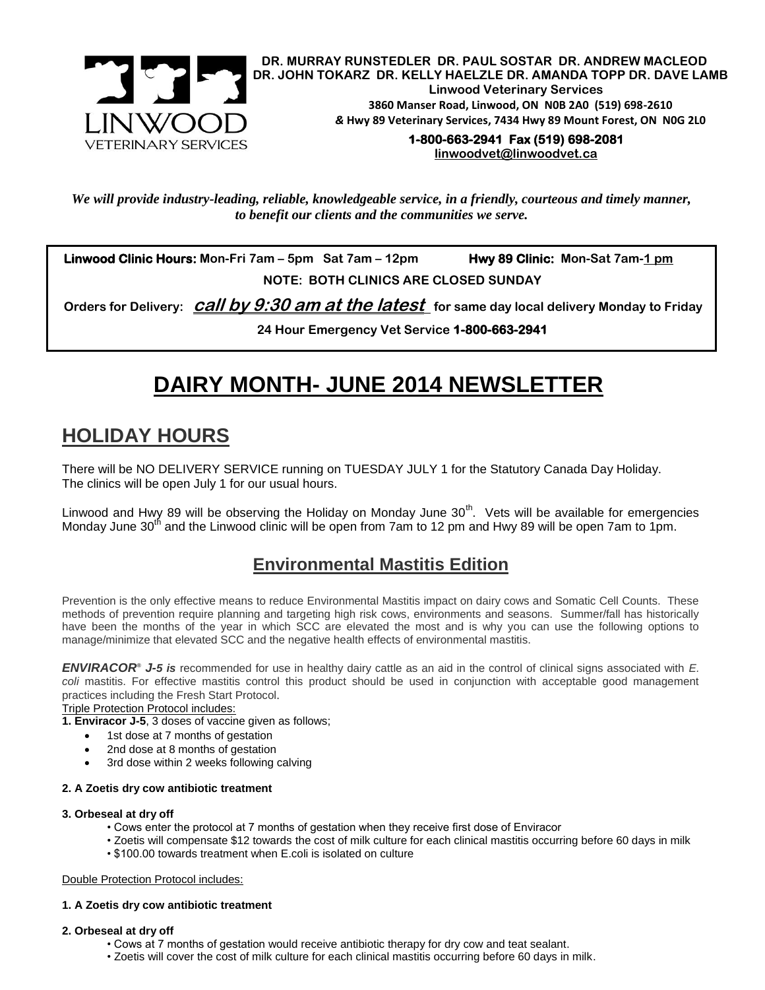

**DR. MURRAY RUNSTEDLER DR. PAUL SOSTAR DR. ANDREW MACLEOD DR. JOHN TOKARZ DR. KELLY HAELZLE DR. AMANDA TOPP DR. DAVE LAMB Linwood Veterinary Services 3860 Manser Road, Linwood, ON N0B 2A0 (519) 698-2610** *&* **Hwy 89 Veterinary Services, 7434 Hwy 89 Mount Forest, ON N0G 2L0**

#### **1-800-663-2941 Fax (519) 698-2081 [linwoodvet@linwoodvet.ca](mailto:linwoodvet@linwoodvet.ca)**

*We will provide industry-leading, reliable, knowledgeable service, in a friendly, courteous and timely manner, to benefit our clients and the communities we serve.*

 **Linwood Clinic Hours: Mon-Fri 7am – 5pm Sat 7am – 12pm Hwy 89 Clinic: Mon-Sat 7am-1 pm NOTE: BOTH CLINICS ARE CLOSED SUNDAY**

 **Orders for Delivery: call by 9:30 am at the latest for same day local delivery Monday to Friday** 

**24 Hour Emergency Vet Service 1-800-663-2941** 

# **DAIRY MONTH- JUNE 2014 NEWSLETTER**

## **HOLIDAY HOURS**

There will be NO DELIVERY SERVICE running on TUESDAY JULY 1 for the Statutory Canada Day Holiday. The clinics will be open July 1 for our usual hours.

Linwood and Hwy 89 will be observing the Holiday on Monday June 30<sup>th</sup>. Vets will be available for emergencies Monday June 30<sup>th</sup> and the Linwood clinic will be open from 7am to 12 pm and Hwy 89 will be open 7am to 1pm.

### **Environmental Mastitis Edition**

Prevention is the only effective means to reduce Environmental Mastitis impact on dairy cows and Somatic Cell Counts. These methods of prevention require planning and targeting high risk cows, environments and seasons. Summer/fall has historically have been the months of the year in which SCC are elevated the most and is why you can use the following options to manage/minimize that elevated SCC and the negative health effects of environmental mastitis.

*ENVIRACOR® J-5 is* recommended for use in healthy dairy cattle as an aid in the control of clinical signs associated with *E.*  coli mastitis. For effective mastitis control this product should be used in conjunction with acceptable good management practices including the Fresh Start Protocol.

#### Triple Protection Protocol includes:

**1. Enviracor J-5**, 3 doses of vaccine given as follows;

- 1st dose at 7 months of gestation
- 2nd dose at 8 months of gestation
- 3rd dose within 2 weeks following calving

#### **2. A Zoetis dry cow antibiotic treatment**

#### **3. Orbeseal at dry off**

- Cows enter the protocol at 7 months of gestation when they receive first dose of Enviracor
- Zoetis will compensate \$12 towards the cost of milk culture for each clinical mastitis occurring before 60 days in milk
- \$100.00 towards treatment when E.coli is isolated on culture

#### Double Protection Protocol includes:

#### **1. A Zoetis dry cow antibiotic treatment**

#### **2. Orbeseal at dry off**

- Cows at 7 months of gestation would receive antibiotic therapy for dry cow and teat sealant.
- Zoetis will cover the cost of milk culture for each clinical mastitis occurring before 60 days in milk.